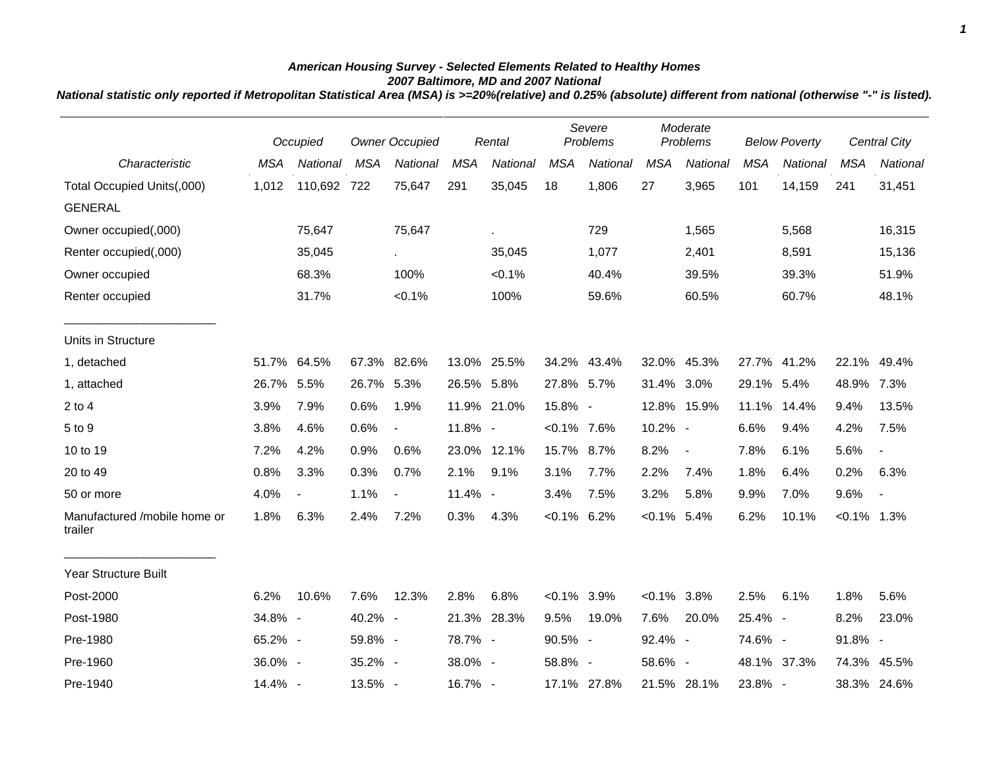## *American Housing Survey - Selected Elements Related to Healthy Homes 2007 Baltimore, MD and 2007 National*

*National statistic only reported if Metropolitan Statistical Area (MSA) is >=20%(relative) and 0.25% (absolute) different from national (otherwise "-" is listed).*

|                                         | Occupied   |                          | <b>Owner Occupied</b> |                | Rental     |             | Severe<br>Problems |             | Moderate<br>Problems |                          | <b>Below Poverty</b> |             |                | <b>Central City</b>      |
|-----------------------------------------|------------|--------------------------|-----------------------|----------------|------------|-------------|--------------------|-------------|----------------------|--------------------------|----------------------|-------------|----------------|--------------------------|
| Characteristic                          | <b>MSA</b> | National                 | <b>MSA</b>            | National       | <b>MSA</b> | National    | <b>MSA</b>         | National    | <b>MSA</b>           | National                 | <b>MSA</b>           | National    | <b>MSA</b>     | National                 |
| Total Occupied Units(,000)              | 1,012      | 110,692 722              |                       | 75,647         | 291        | 35,045      | 18                 | 1,806       | 27                   | 3,965                    | 101                  | 14,159      | 241            | 31,451                   |
| <b>GENERAL</b>                          |            |                          |                       |                |            |             |                    |             |                      |                          |                      |             |                |                          |
| Owner occupied(,000)                    |            | 75,647                   |                       | 75,647         |            | ä,          |                    | 729         |                      | 1,565                    |                      | 5,568       |                | 16,315                   |
| Renter occupied(,000)                   |            | 35,045                   |                       | $\sim$         |            | 35,045      |                    | 1,077       |                      | 2,401                    |                      | 8,591       |                | 15,136                   |
| Owner occupied                          |            | 68.3%                    |                       | 100%           |            | $< 0.1\%$   |                    | 40.4%       |                      | 39.5%                    |                      | 39.3%       |                | 51.9%                    |
| Renter occupied                         |            | 31.7%                    |                       | $< 0.1\%$      |            | 100%        |                    | 59.6%       |                      | 60.5%                    |                      | 60.7%       |                | 48.1%                    |
| Units in Structure                      |            |                          |                       |                |            |             |                    |             |                      |                          |                      |             |                |                          |
| 1, detached                             | 51.7%      | 64.5%                    |                       | 67.3% 82.6%    |            | 13.0% 25.5% |                    | 34.2% 43.4% |                      | 32.0% 45.3%              |                      | 27.7% 41.2% |                | 22.1% 49.4%              |
| 1, attached                             | 26.7%      | 5.5%                     | 26.7% 5.3%            |                | 26.5% 5.8% |             | 27.8% 5.7%         |             | 31.4% 3.0%           |                          | 29.1% 5.4%           |             | 48.9%          | 7.3%                     |
| $2$ to $4$                              | 3.9%       | 7.9%                     | 0.6%                  | 1.9%           |            | 11.9% 21.0% | 15.8% -            |             |                      | 12.8% 15.9%              | 11.1%                | 14.4%       | 9.4%           | 13.5%                    |
| 5 to 9                                  | 3.8%       | 4.6%                     | 0.6%                  | $\blacksquare$ | 11.8% -    |             | $< 0.1\%$ 7.6%     |             | 10.2% -              |                          | 6.6%                 | 9.4%        | 4.2%           | 7.5%                     |
| 10 to 19                                | 7.2%       | 4.2%                     | 0.9%                  | 0.6%           |            | 23.0% 12.1% | 15.7% 8.7%         |             | 8.2%                 | $\overline{\phantom{a}}$ | 7.8%                 | 6.1%        | 5.6%           |                          |
| 20 to 49                                | 0.8%       | 3.3%                     | 0.3%                  | 0.7%           | 2.1%       | 9.1%        | 3.1%               | 7.7%        | 2.2%                 | 7.4%                     | 1.8%                 | 6.4%        | 0.2%           | 6.3%                     |
| 50 or more                              | 4.0%       | $\overline{\phantom{a}}$ | 1.1%                  |                | 11.4% -    |             | 3.4%               | 7.5%        | 3.2%                 | 5.8%                     | 9.9%                 | 7.0%        | 9.6%           | $\overline{\phantom{a}}$ |
| Manufactured /mobile home or<br>trailer | 1.8%       | 6.3%                     | 2.4%                  | 7.2%           | 0.3%       | 4.3%        | $< 0.1\%$ 6.2%     |             | $< 0.1\%$            | 5.4%                     | 6.2%                 | 10.1%       | $< 0.1\%$ 1.3% |                          |
| Year Structure Built                    |            |                          |                       |                |            |             |                    |             |                      |                          |                      |             |                |                          |
| Post-2000                               | 6.2%       | 10.6%                    | 7.6%                  | 12.3%          | 2.8%       | 6.8%        | $< 0.1\%$ 3.9%     |             | $< 0.1\%$ 3.8%       |                          | 2.5%                 | 6.1%        | 1.8%           | 5.6%                     |
| Post-1980                               | 34.8% -    |                          | 40.2% -               |                |            | 21.3% 28.3% | 9.5%               | 19.0%       | 7.6%                 | 20.0%                    | 25.4% -              |             | 8.2%           | 23.0%                    |
| Pre-1980                                | 65.2% -    |                          | 59.8% -               |                | 78.7% -    |             | 90.5% -            |             | 92.4% -              |                          | 74.6% -              |             | 91.8% -        |                          |
| Pre-1960                                | 36.0% -    |                          | 35.2% -               |                | 38.0% -    |             | 58.8% -            |             | 58.6% -              |                          |                      | 48.1% 37.3% | 74.3%          | 45.5%                    |
| Pre-1940                                | 14.4% -    |                          | 13.5% -               |                | 16.7% -    |             |                    | 17.1% 27.8% |                      | 21.5% 28.1%              | 23.8% -              |             |                | 38.3% 24.6%              |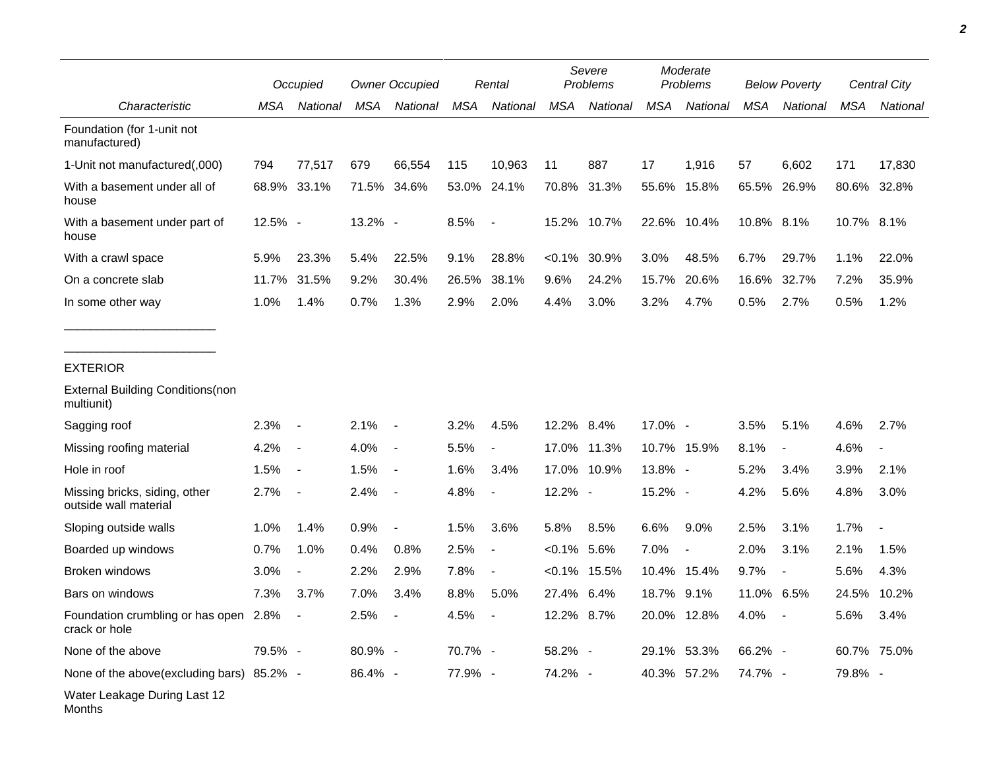|                                                        |         | Occupied                 |            | <b>Owner Occupied</b>    |            | Rental                       |                | Severe<br>Problems |            | Moderate<br>Problems     |             | <b>Below Poverty</b>     |             | Central City   |  |
|--------------------------------------------------------|---------|--------------------------|------------|--------------------------|------------|------------------------------|----------------|--------------------|------------|--------------------------|-------------|--------------------------|-------------|----------------|--|
| Characteristic                                         | MSA     | National                 | <b>MSA</b> | National                 | <b>MSA</b> | National                     | MSA            | National           | <b>MSA</b> | National                 | <b>MSA</b>  | National                 | <b>MSA</b>  | National       |  |
| Foundation (for 1-unit not<br>manufactured)            |         |                          |            |                          |            |                              |                |                    |            |                          |             |                          |             |                |  |
| 1-Unit not manufactured(,000)                          | 794     | 77,517                   | 679        | 66,554                   | 115        | 10,963                       | 11             | 887                | 17         | 1,916                    | 57          | 6,602                    | 171         | 17,830         |  |
| With a basement under all of<br>house                  |         | 68.9% 33.1%              |            | 71.5% 34.6%              |            | 53.0% 24.1%                  | 70.8%          | 31.3%              | 55.6%      | 15.8%                    | 65.5% 26.9% |                          | 80.6%       | 32.8%          |  |
| With a basement under part of<br>house                 | 12.5% - |                          | 13.2% -    |                          | 8.5%       | $\overline{\phantom{a}}$     | 15.2%          | 10.7%              |            | 22.6% 10.4%              | 10.8% 8.1%  |                          | 10.7% 8.1%  |                |  |
| With a crawl space                                     | 5.9%    | 23.3%                    | 5.4%       | 22.5%                    | 9.1%       | 28.8%                        | $< 0.1\%$      | 30.9%              | 3.0%       | 48.5%                    | 6.7%        | 29.7%                    | 1.1%        | 22.0%          |  |
| On a concrete slab                                     | 11.7%   | 31.5%                    | 9.2%       | 30.4%                    | 26.5%      | 38.1%                        | 9.6%           | 24.2%              | 15.7%      | 20.6%                    | 16.6%       | 32.7%                    | 7.2%        | 35.9%          |  |
| In some other way                                      | 1.0%    | 1.4%                     | 0.7%       | 1.3%                     | 2.9%       | 2.0%                         | 4.4%           | 3.0%               | 3.2%       | 4.7%                     | 0.5%        | 2.7%                     | 0.5%        | 1.2%           |  |
| <b>EXTERIOR</b>                                        |         |                          |            |                          |            |                              |                |                    |            |                          |             |                          |             |                |  |
| <b>External Building Conditions (non</b><br>multiunit) |         |                          |            |                          |            |                              |                |                    |            |                          |             |                          |             |                |  |
| Sagging roof                                           | 2.3%    | $\blacksquare$           | 2.1%       |                          | 3.2%       | 4.5%                         | 12.2% 8.4%     |                    | 17.0% -    |                          | 3.5%        | 5.1%                     | 4.6%        | 2.7%           |  |
| Missing roofing material                               | 4.2%    | $\blacksquare$           | 4.0%       | $\sim$                   | 5.5%       | $\blacksquare$               | 17.0%          | 11.3%              |            | 10.7% 15.9%              | 8.1%        |                          | 4.6%        |                |  |
| Hole in roof                                           | 1.5%    | $\blacksquare$           | 1.5%       | $\sim$                   | 1.6%       | 3.4%                         |                | 17.0% 10.9%        | 13.8% -    |                          | 5.2%        | 3.4%                     | 3.9%        | 2.1%           |  |
| Missing bricks, siding, other<br>outside wall material | 2.7%    | $\overline{\phantom{a}}$ | 2.4%       | $\overline{\phantom{a}}$ | 4.8%       |                              | 12.2% -        |                    | 15.2% -    |                          | 4.2%        | 5.6%                     | 4.8%        | 3.0%           |  |
| Sloping outside walls                                  | 1.0%    | 1.4%                     | 0.9%       | $\overline{\phantom{a}}$ | 1.5%       | 3.6%                         | 5.8%           | 8.5%               | 6.6%       | 9.0%                     | 2.5%        | 3.1%                     | 1.7%        | $\blacksquare$ |  |
| Boarded up windows                                     | 0.7%    | 1.0%                     | 0.4%       | 0.8%                     | 2.5%       | $\overline{\phantom{a}}$     | $< 0.1\%$ 5.6% |                    | 7.0%       | $\overline{\phantom{a}}$ | 2.0%        | 3.1%                     | 2.1%        | 1.5%           |  |
| Broken windows                                         | 3.0%    | $\overline{\phantom{a}}$ | 2.2%       | 2.9%                     | 7.8%       | $\qquad \qquad \blacksquare$ | $< 0.1\%$      | 15.5%              |            | 10.4% 15.4%              | 9.7%        | $\overline{\phantom{a}}$ | 5.6%        | 4.3%           |  |
| Bars on windows                                        | 7.3%    | 3.7%                     | 7.0%       | 3.4%                     | 8.8%       | 5.0%                         | 27.4% 6.4%     |                    | 18.7% 9.1% |                          | 11.0%       | 6.5%                     | 24.5%       | 10.2%          |  |
| Foundation crumbling or has open 2.8%<br>crack or hole |         |                          | 2.5%       |                          | 4.5%       | $\blacksquare$               | 12.2% 8.7%     |                    |            | 20.0% 12.8%              | 4.0%        |                          | 5.6%        | 3.4%           |  |
| None of the above                                      | 79.5% - |                          | 80.9% -    |                          | 70.7% -    |                              | 58.2% -        |                    |            | 29.1% 53.3%              | 66.2% -     |                          | 60.7% 75.0% |                |  |
| None of the above(excluding bars) 85.2% -              |         |                          | 86.4% -    |                          | 77.9% -    |                              | 74.2% -        |                    |            | 40.3% 57.2%              | 74.7% -     |                          | 79.8% -     |                |  |
| Water Leakage During Last 12<br>Months                 |         |                          |            |                          |            |                              |                |                    |            |                          |             |                          |             |                |  |

*2*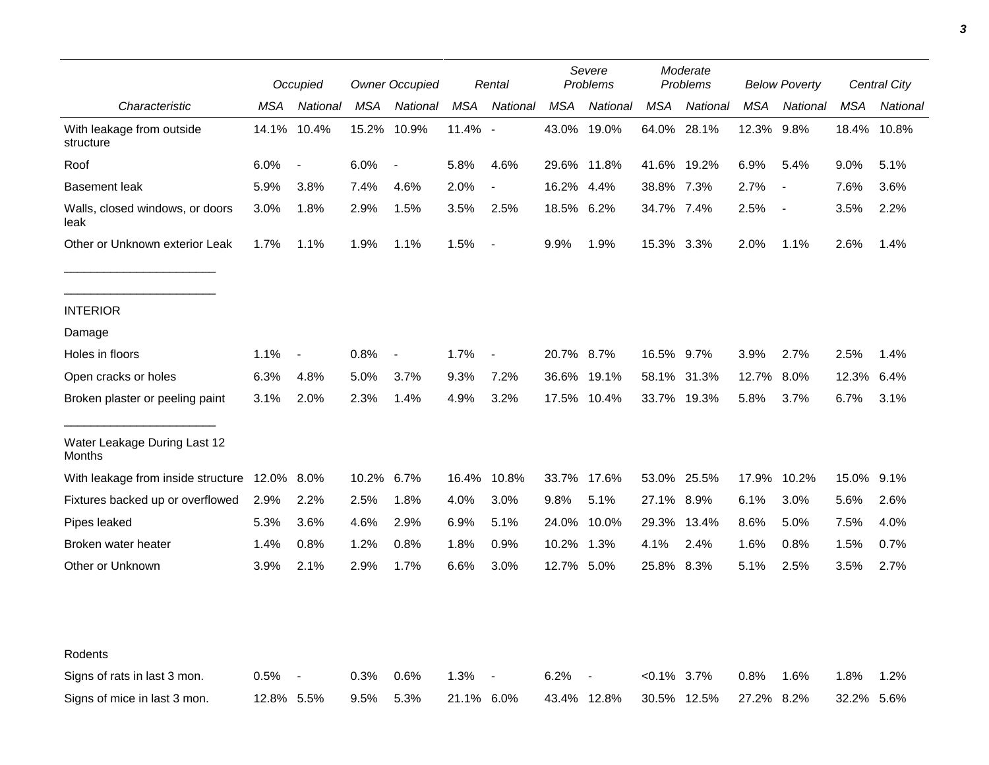|                                         |            | Occupied                 |       | <b>Owner Occupied</b>    |            | Rental                   | Severe<br>Problems |             | Moderate<br>Problems |             | <b>Below Poverty</b> |                          | Central City |          |
|-----------------------------------------|------------|--------------------------|-------|--------------------------|------------|--------------------------|--------------------|-------------|----------------------|-------------|----------------------|--------------------------|--------------|----------|
| Characteristic                          | MSA        | National                 | MSA   | National                 | MSA        | National                 | <b>MSA</b>         | National    | <b>MSA</b>           | National    | MSA                  | National                 | <b>MSA</b>   | National |
| With leakage from outside<br>structure  | 14.1%      | 10.4%                    | 15.2% | 10.9%                    | 11.4% -    |                          |                    | 43.0% 19.0% |                      | 64.0% 28.1% | 12.3%                | 9.8%                     | 18.4%        | 10.8%    |
| Roof                                    | 6.0%       | $\overline{\phantom{a}}$ | 6.0%  | $\overline{\phantom{a}}$ | 5.8%       | 4.6%                     |                    | 29.6% 11.8% |                      | 41.6% 19.2% | 6.9%                 | 5.4%                     | 9.0%         | 5.1%     |
| <b>Basement leak</b>                    | 5.9%       | 3.8%                     | 7.4%  | 4.6%                     | 2.0%       | $\overline{\phantom{a}}$ | 16.2% 4.4%         |             | 38.8% 7.3%           |             | 2.7%                 | $\blacksquare$           | 7.6%         | 3.6%     |
| Walls, closed windows, or doors<br>leak | 3.0%       | 1.8%                     | 2.9%  | 1.5%                     | 3.5%       | 2.5%                     | 18.5% 6.2%         |             | 34.7% 7.4%           |             | 2.5%                 | $\overline{\phantom{a}}$ | 3.5%         | 2.2%     |
| Other or Unknown exterior Leak          | 1.7%       | 1.1%                     | 1.9%  | 1.1%                     | 1.5%       | $\overline{\phantom{a}}$ | 9.9%               | 1.9%        | 15.3% 3.3%           |             | 2.0%                 | 1.1%                     | 2.6%         | 1.4%     |
| <b>INTERIOR</b>                         |            |                          |       |                          |            |                          |                    |             |                      |             |                      |                          |              |          |
| Damage                                  |            |                          |       |                          |            |                          |                    |             |                      |             |                      |                          |              |          |
| Holes in floors                         | 1.1%       | $\overline{\phantom{a}}$ | 0.8%  | $\blacksquare$           | 1.7%       | $\blacksquare$           | 20.7% 8.7%         |             | 16.5% 9.7%           |             | 3.9%                 | 2.7%                     | 2.5%         | 1.4%     |
| Open cracks or holes                    | 6.3%       | 4.8%                     | 5.0%  | 3.7%                     | 9.3%       | 7.2%                     | 36.6%              | 19.1%       | 58.1%                | 31.3%       | 12.7%                | 8.0%                     | 12.3%        | 6.4%     |
| Broken plaster or peeling paint         | 3.1%       | 2.0%                     | 2.3%  | 1.4%                     | 4.9%       | 3.2%                     |                    | 17.5% 10.4% |                      | 33.7% 19.3% | 5.8%                 | 3.7%                     | 6.7%         | 3.1%     |
| Water Leakage During Last 12<br>Months  |            |                          |       |                          |            |                          |                    |             |                      |             |                      |                          |              |          |
| With leakage from inside structure      | 12.0% 8.0% |                          | 10.2% | 6.7%                     | 16.4%      | 10.8%                    |                    | 33.7% 17.6% |                      | 53.0% 25.5% | 17.9%                | 10.2%                    | 15.0%        | $9.1\%$  |
| Fixtures backed up or overflowed        | 2.9%       | 2.2%                     | 2.5%  | 1.8%                     | 4.0%       | 3.0%                     | 9.8%               | 5.1%        | 27.1% 8.9%           |             | 6.1%                 | 3.0%                     | 5.6%         | 2.6%     |
| Pipes leaked                            | 5.3%       | 3.6%                     | 4.6%  | 2.9%                     | 6.9%       | 5.1%                     | 24.0%              | 10.0%       | 29.3%                | 13.4%       | 8.6%                 | 5.0%                     | 7.5%         | 4.0%     |
| Broken water heater                     | 1.4%       | 0.8%                     | 1.2%  | 0.8%                     | 1.8%       | 0.9%                     | 10.2%              | 1.3%        | 4.1%                 | 2.4%        | 1.6%                 | 0.8%                     | 1.5%         | 0.7%     |
| Other or Unknown                        | 3.9%       | 2.1%                     | 2.9%  | 1.7%                     | 6.6%       | 3.0%                     | 12.7% 5.0%         |             | 25.8% 8.3%           |             | 5.1%                 | 2.5%                     | 3.5%         | 2.7%     |
| Rodents                                 |            |                          |       |                          |            |                          |                    |             |                      |             |                      |                          |              |          |
| Signs of rats in last 3 mon.            | 0.5%       | $\overline{\phantom{a}}$ | 0.3%  | 0.6%                     | 1.3%       |                          | 6.2%               |             | $<0.1\%$ 3.7%        |             | 0.8%                 | 1.6%                     | 1.8%         | 1.2%     |
| Signs of mice in last 3 mon.            | 12.8% 5.5% |                          | 9.5%  | 5.3%                     | 21.1% 6.0% |                          |                    | 43.4% 12.8% |                      | 30.5% 12.5% | 27.2%                | 8.2%                     | 32.2% 5.6%   |          |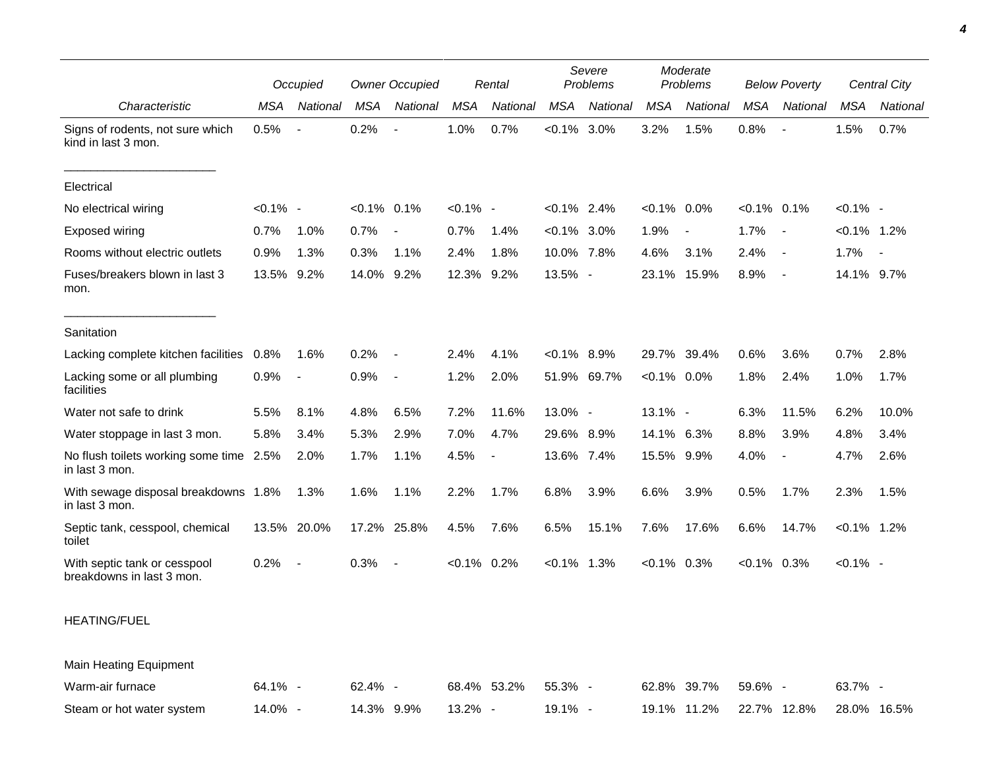|                                                           |             | Occupied       | <b>Owner Occupied</b> |                          |                | Rental                   |                | Severe<br>Problems | Moderate<br>Problems |                          | <b>Below Poverty</b> |                          | <b>Central City</b> |                          |
|-----------------------------------------------------------|-------------|----------------|-----------------------|--------------------------|----------------|--------------------------|----------------|--------------------|----------------------|--------------------------|----------------------|--------------------------|---------------------|--------------------------|
| Characteristic                                            | <b>MSA</b>  | National       | MSA                   | National                 | <b>MSA</b>     | National                 | <b>MSA</b>     | National           | <b>MSA</b>           | National                 | MSA                  | National                 | MSA                 | National                 |
| Signs of rodents, not sure which<br>kind in last 3 mon.   | 0.5%        | $\blacksquare$ | 0.2%                  |                          | 1.0%           | 0.7%                     | $< 0.1\%$      | 3.0%               | 3.2%                 | 1.5%                     | 0.8%                 | $\overline{\phantom{a}}$ | 1.5%                | 0.7%                     |
| Electrical                                                |             |                |                       |                          |                |                          |                |                    |                      |                          |                      |                          |                     |                          |
| No electrical wiring                                      | $< 0.1\%$ - |                | $< 0.1\%$ 0.1%        |                          | $< 0.1\%$ -    |                          | $< 0.1\%$ 2.4% |                    | $< 0.1\%$ 0.0%       |                          | $< 0.1\%$ 0.1%       |                          | $< 0.1\%$ -         |                          |
| Exposed wiring                                            | 0.7%        | 1.0%           | 0.7%                  | $\overline{\phantom{a}}$ | 0.7%           | 1.4%                     | $< 0.1\%$ 3.0% |                    | 1.9%                 | $\overline{\phantom{a}}$ | 1.7%                 | $\overline{\phantom{a}}$ | $< 0.1\%$ 1.2%      |                          |
| Rooms without electric outlets                            | 0.9%        | 1.3%           | 0.3%                  | 1.1%                     | 2.4%           | 1.8%                     | 10.0% 7.8%     |                    | 4.6%                 | 3.1%                     | 2.4%                 | $\overline{\phantom{a}}$ | 1.7%                | $\overline{\phantom{a}}$ |
| Fuses/breakers blown in last 3<br>mon.                    | 13.5% 9.2%  |                | 14.0% 9.2%            |                          | 12.3% 9.2%     |                          | 13.5% -        |                    |                      | 23.1% 15.9%              | 8.9%                 | $\blacksquare$           | 14.1% 9.7%          |                          |
| Sanitation                                                |             |                |                       |                          |                |                          |                |                    |                      |                          |                      |                          |                     |                          |
| Lacking complete kitchen facilities                       | 0.8%        | 1.6%           | 0.2%                  | $\sim$                   | 2.4%           | 4.1%                     | $< 0.1\%$ 8.9% |                    |                      | 29.7% 39.4%              | 0.6%                 | 3.6%                     | 0.7%                | 2.8%                     |
| Lacking some or all plumbing<br>facilities                | 0.9%        | $\blacksquare$ | 0.9%                  | $\overline{\phantom{a}}$ | 1.2%           | 2.0%                     |                | 51.9% 69.7%        | $< 0.1\%$ 0.0%       |                          | 1.8%                 | 2.4%                     | 1.0%                | 1.7%                     |
| Water not safe to drink                                   | 5.5%        | 8.1%           | 4.8%                  | 6.5%                     | 7.2%           | 11.6%                    | 13.0% -        |                    | 13.1% -              |                          | 6.3%                 | 11.5%                    | 6.2%                | 10.0%                    |
| Water stoppage in last 3 mon.                             | 5.8%        | 3.4%           | 5.3%                  | 2.9%                     | 7.0%           | 4.7%                     | 29.6% 8.9%     |                    | 14.1%                | 6.3%                     | 8.8%                 | 3.9%                     | 4.8%                | 3.4%                     |
| No flush toilets working some time 2.5%<br>in last 3 mon. |             | 2.0%           | 1.7%                  | 1.1%                     | 4.5%           | $\overline{\phantom{a}}$ | 13.6% 7.4%     |                    | 15.5% 9.9%           |                          | 4.0%                 | $\blacksquare$           | 4.7%                | 2.6%                     |
| With sewage disposal breakdowns 1.8%<br>in last 3 mon.    |             | 1.3%           | 1.6%                  | 1.1%                     | 2.2%           | 1.7%                     | 6.8%           | 3.9%               | 6.6%                 | 3.9%                     | 0.5%                 | 1.7%                     | 2.3%                | 1.5%                     |
| Septic tank, cesspool, chemical<br>toilet                 |             | 13.5% 20.0%    |                       | 17.2% 25.8%              | 4.5%           | 7.6%                     | 6.5%           | 15.1%              | 7.6%                 | 17.6%                    | 6.6%                 | 14.7%                    | $< 0.1\%$ 1.2%      |                          |
| With septic tank or cesspool<br>breakdowns in last 3 mon. | 0.2%        |                | 0.3%                  | $\overline{\phantom{a}}$ | $< 0.1\%$ 0.2% |                          | $< 0.1\%$      | 1.3%               | $< 0.1\%$ 0.3%       |                          | $< 0.1\%$            | 0.3%                     | $< 0.1\%$ -         |                          |
| <b>HEATING/FUEL</b>                                       |             |                |                       |                          |                |                          |                |                    |                      |                          |                      |                          |                     |                          |
| Main Heating Equipment                                    |             |                |                       |                          |                |                          |                |                    |                      |                          |                      |                          |                     |                          |
| Warm-air furnace                                          | 64.1% -     |                | 62.4% -               |                          |                | 68.4% 53.2%              | 55.3% -        |                    |                      | 62.8% 39.7%              | 59.6% -              |                          | 63.7% -             |                          |
| Steam or hot water system                                 | 14.0% -     |                | 14.3% 9.9%            |                          | 13.2% -        |                          | 19.1% -        |                    |                      | 19.1% 11.2%              |                      | 22.7% 12.8%              |                     | 28.0% 16.5%              |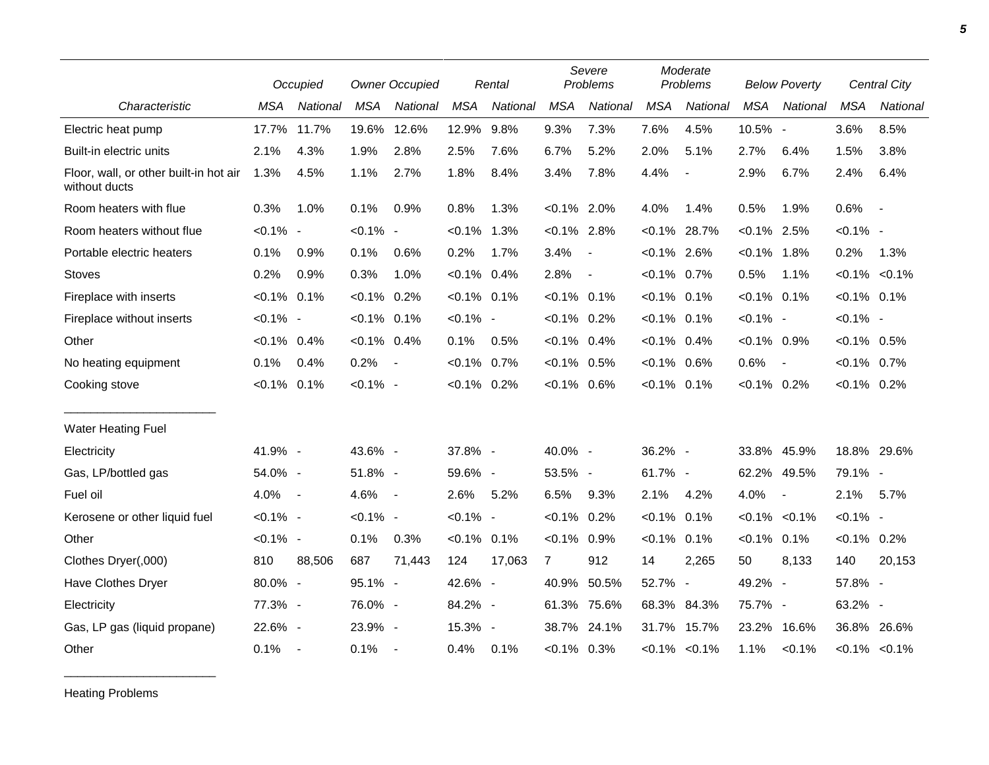|                                                         |                | Occupied |                | <b>Owner Occupied</b>    |                | Rental   |                | Severe<br>Problems |                | Moderate<br>Problems     |                | <b>Below Poverty</b>     |                | Central City        |
|---------------------------------------------------------|----------------|----------|----------------|--------------------------|----------------|----------|----------------|--------------------|----------------|--------------------------|----------------|--------------------------|----------------|---------------------|
| Characteristic                                          | MSA            | National | <b>MSA</b>     | National                 | <b>MSA</b>     | National | <b>MSA</b>     | National           | <b>MSA</b>     | National                 | <b>MSA</b>     | National                 | <b>MSA</b>     | <b>National</b>     |
| Electric heat pump                                      | 17.7%          | 11.7%    | 19.6%          | 12.6%                    | 12.9%          | $9.8\%$  | 9.3%           | 7.3%               | 7.6%           | 4.5%                     | 10.5% -        |                          | 3.6%           | 8.5%                |
| Built-in electric units                                 | 2.1%           | 4.3%     | 1.9%           | 2.8%                     | 2.5%           | 7.6%     | 6.7%           | 5.2%               | 2.0%           | 5.1%                     | 2.7%           | 6.4%                     | 1.5%           | 3.8%                |
| Floor, wall, or other built-in hot air<br>without ducts | 1.3%           | 4.5%     | 1.1%           | 2.7%                     | 1.8%           | 8.4%     | 3.4%           | 7.8%               | 4.4%           | $\overline{\phantom{a}}$ | 2.9%           | 6.7%                     | 2.4%           | 6.4%                |
| Room heaters with flue                                  | 0.3%           | 1.0%     | 0.1%           | 0.9%                     | 0.8%           | 1.3%     | $< 0.1\%$ 2.0% |                    | 4.0%           | 1.4%                     | 0.5%           | 1.9%                     | 0.6%           | $\sim$              |
| Room heaters without flue                               | $< 0.1\%$ -    |          | $< 0.1\%$ -    |                          | $< 0.1\%$ 1.3% |          | $< 0.1\%$ 2.8% |                    |                | $< 0.1\%$ 28.7%          | $< 0.1\%$ 2.5% |                          | $< 0.1\%$ -    |                     |
| Portable electric heaters                               | 0.1%           | 0.9%     | 0.1%           | 0.6%                     | 0.2%           | 1.7%     | 3.4%           | $\blacksquare$     | $< 0.1\%$ 2.6% |                          | $< 0.1\%$      | 1.8%                     | 0.2%           | 1.3%                |
| <b>Stoves</b>                                           | 0.2%           | 0.9%     | 0.3%           | 1.0%                     | $< 0.1\%$ 0.4% |          | 2.8%           | $\blacksquare$     | $< 0.1\%$ 0.7% |                          | 0.5%           | 1.1%                     |                | $< 0.1\%$ $< 0.1\%$ |
| Fireplace with inserts                                  | $< 0.1\%$ 0.1% |          | $< 0.1\%$      | 0.2%                     | $< 0.1\%$ 0.1% |          | $< 0.1\%$ 0.1% |                    | $< 0.1\%$ 0.1% |                          | $< 0.1\%$ 0.1% |                          | $< 0.1\%$ 0.1% |                     |
| Fireplace without inserts                               | $< 0.1\%$ -    |          | $< 0.1\%$ 0.1% |                          | $< 0.1\%$ -    |          | $< 0.1\%$ 0.2% |                    | $< 0.1\%$ 0.1% |                          | $< 0.1\%$ -    |                          | $< 0.1\%$ -    |                     |
| Other                                                   | $< 0.1\%$ 0.4% |          | $< 0.1\%$ 0.4% |                          | 0.1%           | 0.5%     | $< 0.1\%$ 0.4% |                    | $< 0.1\%$ 0.4% |                          | $< 0.1\%$ 0.9% |                          | $< 0.1\%$ 0.5% |                     |
| No heating equipment                                    | 0.1%           | 0.4%     | 0.2%           | $\sim$                   | $< 0.1\%$ 0.7% |          | $< 0.1\%$ 0.5% |                    | $<0.1\%$ 0.6%  |                          | 0.6%           | $\overline{\phantom{a}}$ | $< 0.1\%$ 0.7% |                     |
| Cooking stove                                           | $< 0.1\%$ 0.1% |          | $< 0.1\%$ -    |                          | $< 0.1\%$ 0.2% |          | $<0.1\%$ 0.6%  |                    | $< 0.1\%$ 0.1% |                          | $< 0.1\%$ 0.2% |                          | $< 0.1\%$ 0.2% |                     |
| <b>Water Heating Fuel</b>                               |                |          |                |                          |                |          |                |                    |                |                          |                |                          |                |                     |
| Electricity                                             | 41.9% -        |          | 43.6% -        |                          | 37.8% -        |          | 40.0% -        |                    | 36.2% -        |                          | 33.8%          | 45.9%                    |                | 18.8% 29.6%         |
| Gas, LP/bottled gas                                     | 54.0% -        |          | 51.8% -        |                          | 59.6% -        |          | 53.5% -        |                    | 61.7% -        |                          | 62.2%          | 49.5%                    | 79.1% -        |                     |
| Fuel oil                                                | 4.0%           | $\sim$   | 4.6%           | $\overline{\phantom{a}}$ | 2.6%           | 5.2%     | 6.5%           | 9.3%               | 2.1%           | 4.2%                     | 4.0%           | $\overline{\phantom{a}}$ | 2.1%           | 5.7%                |
| Kerosene or other liquid fuel                           | $< 0.1\%$ -    |          | $< 0.1\%$ -    |                          | $< 0.1\%$ -    |          | $< 0.1\%$ 0.2% |                    | $< 0.1\%$      | 0.1%                     | $< 0.1\%$      | $< 0.1\%$                | $< 0.1\%$ -    |                     |
| Other                                                   | $< 0.1\%$ -    |          | 0.1%           | 0.3%                     | $< 0.1\%$ 0.1% |          | $< 0.1\%$      | 0.9%               | $< 0.1\%$      | 0.1%                     | $< 0.1\%$ 0.1% |                          | $< 0.1\%$ 0.2% |                     |
| Clothes Dryer(,000)                                     | 810            | 88,506   | 687            | 71,443                   | 124            | 17,063   | $\overline{7}$ | 912                | 14             | 2,265                    | 50             | 8,133                    | 140            | 20,153              |
| Have Clothes Dryer                                      | 80.0% -        |          | 95.1% -        |                          | 42.6% -        |          | 40.9%          | 50.5%              | 52.7% -        |                          | 49.2% -        |                          | 57.8% -        |                     |
| Electricity                                             | 77.3% -        |          | 76.0% -        |                          | 84.2% -        |          | 61.3% 75.6%    |                    | 68.3%          | 84.3%                    | 75.7% -        |                          | 63.2% -        |                     |
| Gas, LP gas (liquid propane)                            | 22.6% -        |          | 23.9% -        |                          | 15.3% -        |          | 38.7%          | 24.1%              |                | 31.7% 15.7%              | 23.2%          | 16.6%                    |                | 36.8% 26.6%         |
| Other                                                   | 0.1%           | $\sim$   | 0.1%           | $\sim$ $-$               | 0.4%           | 0.1%     | $< 0.1\%$ 0.3% |                    |                | $< 0.1\%$ $< 0.1\%$      | 1.1%           | $< 0.1\%$                |                | $< 0.1\% < 0.1\%$   |

Heating Problems

\_\_\_\_\_\_\_\_\_\_\_\_\_\_\_\_\_\_\_\_\_\_\_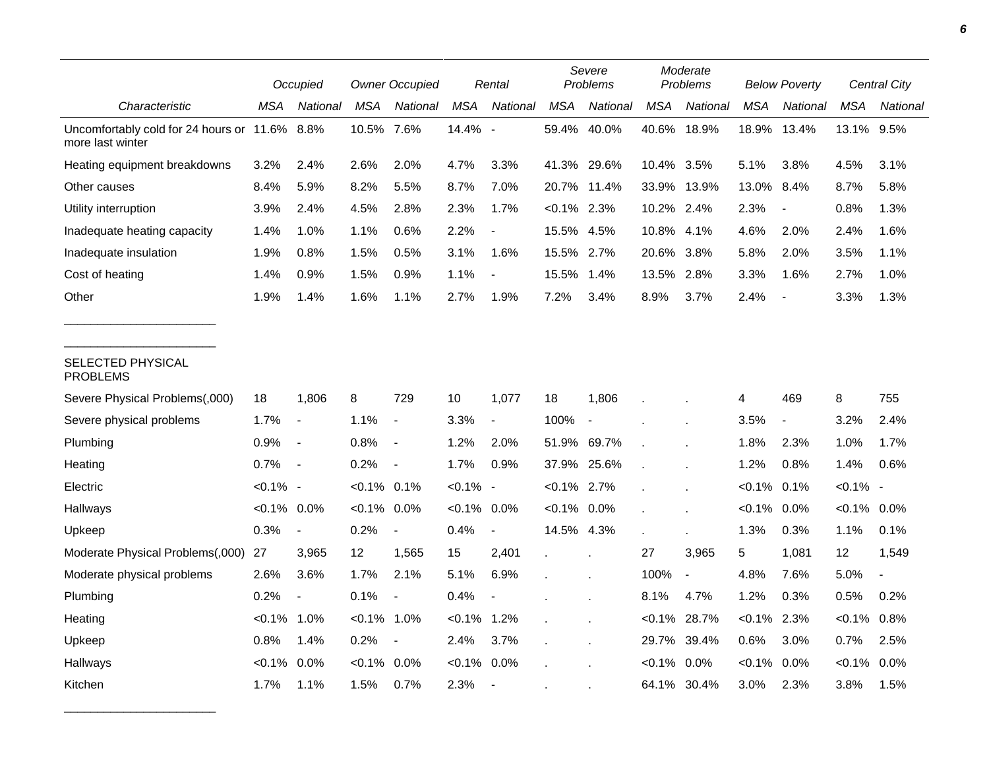|                                                                   |                | Occupied                 |            | <b>Owner Occupied</b>    |             | Rental                   |                | Severe<br>Problems       |                 | Moderate<br>Problems |            | <b>Below Poverty</b>     |                | Central City   |  |
|-------------------------------------------------------------------|----------------|--------------------------|------------|--------------------------|-------------|--------------------------|----------------|--------------------------|-----------------|----------------------|------------|--------------------------|----------------|----------------|--|
| Characteristic                                                    | MSA            | National                 | <b>MSA</b> | National                 | <b>MSA</b>  | National                 | <b>MSA</b>     | National                 | <b>MSA</b>      | National             | <b>MSA</b> | National                 | <b>MSA</b>     | National       |  |
| Uncomfortably cold for 24 hours or 11.6% 8.8%<br>more last winter |                |                          | 10.5% 7.6% |                          | 14.4% -     |                          | 59.4%          | 40.0%                    | 40.6%           | 18.9%                | 18.9%      | 13.4%                    | 13.1% 9.5%     |                |  |
| Heating equipment breakdowns                                      | 3.2%           | 2.4%                     | 2.6%       | 2.0%                     | 4.7%        | 3.3%                     | 41.3% 29.6%    |                          | 10.4% 3.5%      |                      | 5.1%       | 3.8%                     | 4.5%           | 3.1%           |  |
| Other causes                                                      | 8.4%           | 5.9%                     | 8.2%       | 5.5%                     | 8.7%        | 7.0%                     | 20.7% 11.4%    |                          | 33.9%           | 13.9%                | 13.0%      | 8.4%                     | 8.7%           | 5.8%           |  |
| Utility interruption                                              | 3.9%           | 2.4%                     | 4.5%       | 2.8%                     | 2.3%        | 1.7%                     | $< 0.1\%$ 2.3% |                          | 10.2% 2.4%      |                      | 2.3%       | $\overline{\phantom{a}}$ | 0.8%           | 1.3%           |  |
| Inadequate heating capacity                                       | 1.4%           | 1.0%                     | 1.1%       | 0.6%                     | 2.2%        | $\overline{a}$           | 15.5% 4.5%     |                          | 10.8% 4.1%      |                      | 4.6%       | 2.0%                     | 2.4%           | 1.6%           |  |
| Inadequate insulation                                             | 1.9%           | 0.8%                     | 1.5%       | 0.5%                     | 3.1%        | 1.6%                     | 15.5% 2.7%     |                          | 20.6%           | 3.8%                 | 5.8%       | 2.0%                     | 3.5%           | 1.1%           |  |
| Cost of heating                                                   | 1.4%           | 0.9%                     | 1.5%       | 0.9%                     | 1.1%        |                          | 15.5%          | 1.4%                     | 13.5% 2.8%      |                      | 3.3%       | 1.6%                     | 2.7%           | 1.0%           |  |
| Other                                                             | 1.9%           | 1.4%                     | 1.6%       | 1.1%                     | 2.7%        | 1.9%                     | 7.2%           | 3.4%                     | 8.9%            | 3.7%                 | 2.4%       | $\blacksquare$           | 3.3%           | 1.3%           |  |
| SELECTED PHYSICAL<br><b>PROBLEMS</b>                              |                |                          |            |                          |             |                          |                |                          |                 |                      |            |                          |                |                |  |
| Severe Physical Problems(,000)                                    | 18             | 1,806                    | 8          | 729                      | 10          | 1,077                    | 18             | 1,806                    |                 |                      | 4          | 469                      | 8              | 755            |  |
| Severe physical problems                                          | 1.7%           | $\overline{\phantom{a}}$ | 1.1%       | $\overline{\phantom{a}}$ | 3.3%        | $\blacksquare$           | 100%           | $\overline{\phantom{a}}$ |                 |                      | 3.5%       | $\blacksquare$           | 3.2%           | 2.4%           |  |
| Plumbing                                                          | 0.9%           | $\overline{\phantom{a}}$ | 0.8%       | $\overline{\phantom{a}}$ | 1.2%        | 2.0%                     | 51.9% 69.7%    |                          |                 |                      | 1.8%       | 2.3%                     | 1.0%           | 1.7%           |  |
| Heating                                                           | 0.7%           | $\sim$                   | 0.2%       | $\overline{\phantom{a}}$ | 1.7%        | 0.9%                     | 37.9%          | 25.6%                    |                 |                      | 1.2%       | 0.8%                     | 1.4%           | 0.6%           |  |
| Electric                                                          | $< 0.1\%$ -    |                          | $< 0.1\%$  | 0.1%                     | $< 0.1\%$ - |                          | $< 0.1\%$ 2.7% |                          |                 |                      | $< 0.1\%$  | 0.1%                     | $< 0.1\%$ -    |                |  |
| Hallways                                                          | $< 0.1\%$ 0.0% |                          | $< 0.1\%$  | 0.0%                     | $< 0.1\%$   | 0.0%                     | $< 0.1\%$ 0.0% |                          |                 |                      | $< 0.1\%$  | 0.0%                     | $< 0.1\%$ 0.0% |                |  |
| Upkeep                                                            | 0.3%           | $\blacksquare$           | 0.2%       | $\overline{\phantom{a}}$ | 0.4%        | $\blacksquare$           | 14.5% 4.3%     |                          |                 |                      | 1.3%       | 0.3%                     | 1.1%           | 0.1%           |  |
| Moderate Physical Problems(,000)                                  | 27             | 3,965                    | 12         | 1,565                    | 15          | 2,401                    |                |                          | 27              | 3,965                | 5          | 1,081                    | 12             | 1,549          |  |
| Moderate physical problems                                        | 2.6%           | 3.6%                     | 1.7%       | 2.1%                     | 5.1%        | 6.9%                     |                |                          | 100%            | $\blacksquare$       | 4.8%       | 7.6%                     | 5.0%           | $\blacksquare$ |  |
| Plumbing                                                          | 0.2%           |                          | 0.1%       |                          | 0.4%        |                          |                |                          | 8.1%            | 4.7%                 | 1.2%       | 0.3%                     | 0.5%           | 0.2%           |  |
| Heating                                                           | $< 0.1\%$      | 1.0%                     | $< 0.1\%$  | 1.0%                     | $< 0.1\%$   | 1.2%                     |                |                          | $< 0.1\%$ 28.7% |                      | $< 0.1\%$  | 2.3%                     | $< 0.1\%$      | 0.8%           |  |
| Upkeep                                                            | 0.8%           | 1.4%                     | 0.2%       | $\overline{\phantom{a}}$ | 2.4%        | 3.7%                     |                |                          | 29.7%           | 39.4%                | 0.6%       | 3.0%                     | 0.7%           | 2.5%           |  |
| Hallways                                                          | $< 0.1\%$      | $0.0\%$                  | $< 0.1\%$  | $0.0\%$                  | $< 0.1\%$   | 0.0%                     |                |                          | $< 0.1\%$       | $0.0\%$              | $< 0.1\%$  | $0.0\%$                  | $< 0.1\%$      | 0.0%           |  |
| Kitchen                                                           | 1.7%           | 1.1%                     | 1.5%       | 0.7%                     | 2.3%        | $\overline{\phantom{a}}$ |                |                          | 64.1% 30.4%     |                      | 3.0%       | 2.3%                     | 3.8%           | 1.5%           |  |

\_\_\_\_\_\_\_\_\_\_\_\_\_\_\_\_\_\_\_\_\_\_\_